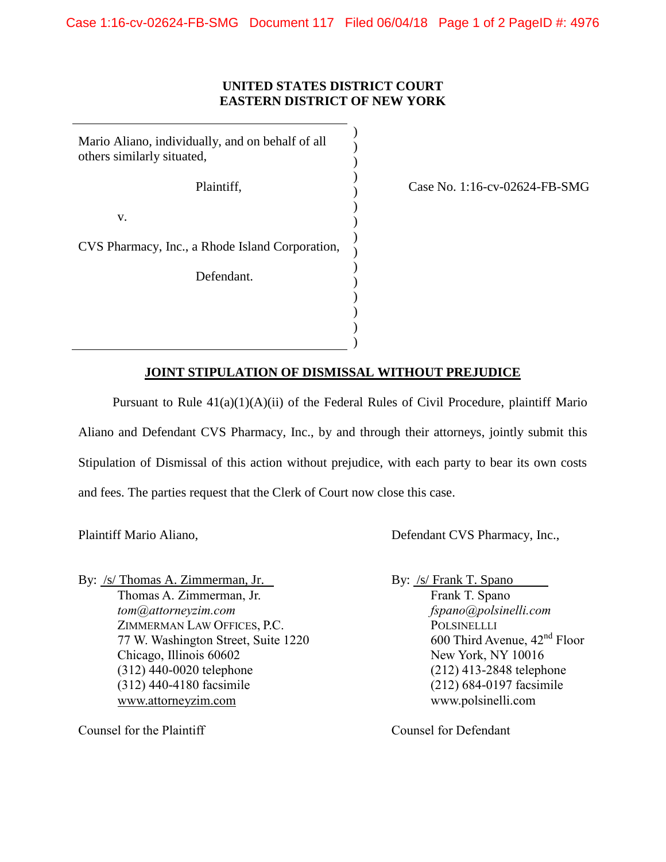## **UNITED STATES DISTRICT COURT EASTERN DISTRICT OF NEW YORK**

) )  $\mathcal{L}$ ) ) )  $\mathcal{L}$ ) ) ) ) ) ) ) )

Mario Aliano, individually, and on behalf of all others similarly situated, Plaintiff, v.

Case No. 1:16-cv-02624-FB-SMG

CVS Pharmacy, Inc., a Rhode Island Corporation,

Defendant.

## **JOINT STIPULATION OF DISMISSAL WITHOUT PREJUDICE**

Pursuant to Rule 41(a)(1)(A)(ii) of the Federal Rules of Civil Procedure, plaintiff Mario Aliano and Defendant CVS Pharmacy, Inc., by and through their attorneys, jointly submit this Stipulation of Dismissal of this action without prejudice, with each party to bear its own costs and fees. The parties request that the Clerk of Court now close this case.

Plaintiff Mario Aliano,  $\qquad$  Defendant CVS Pharmacy, Inc.,

By: /s/ Thomas A. Zimmerman, Jr. By: /s/ Frank T. Spano Thomas A. Zimmerman, Jr. Frank T. Spano *tom@attorneyzim.com fspano@polsinelli.com*  ZIMMERMAN LAW OFFICES, P.C. POLSINELLLI 77 W. Washington Street, Suite 1220 600 Third Avenue,  $42<sup>nd</sup>$  Floor Chicago, Illinois 60602 New York, NY 10016 (312) 440-0020 telephone (212) 413-2848 telephone (312) 440-4180 facsimile (212) 684-0197 facsimile www.attorneyzim.com www.polsinelli.com

Counsel for the Plaintiff Counsel for Defendant